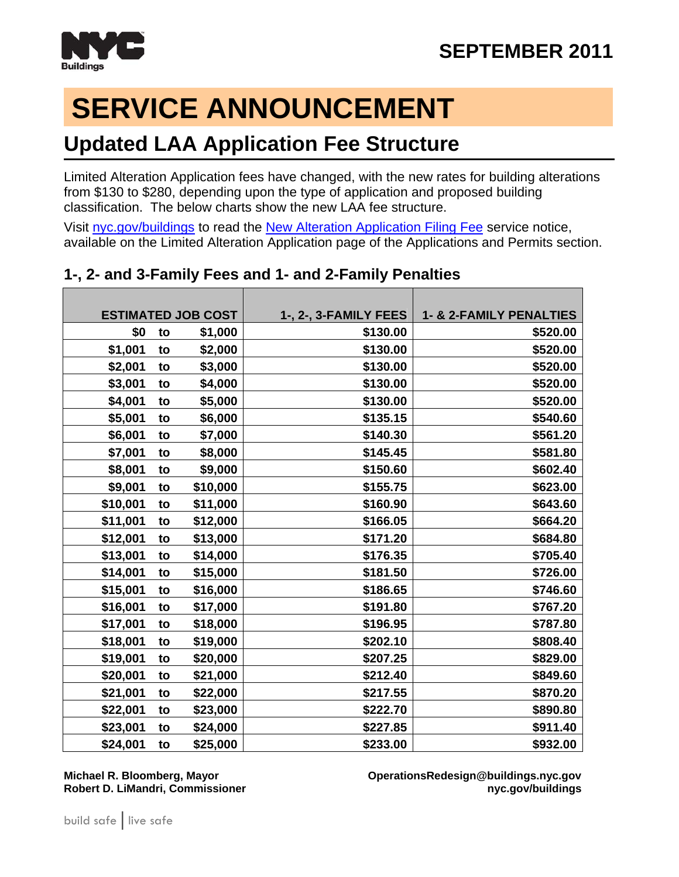

# **SERVICE ANNOUNCEMENT**

### **Updated LAA Application Fee Structure**

Limited Alteration Application fees have changed, with the new rates for building alterations from \$130 to \$280, depending upon the type of application and proposed building classification. The below charts show the new LAA fee structure.

Visit [nyc.gov/buildings](http://www.nyc.gov/buildings) to read the [New Alteration Application Filing Fee](http://www1.nyc.gov/assets/buildings/pdf/alteration_filing_fees.pdf) service notice, available on the Limited Alteration Application page of the Applications and Permits section.

|          |    | <b>ESTIMATED JOB COST</b> | 1-, 2-, 3-FAMILY FEES | <b>1- &amp; 2-FAMILY PENALTIES</b> |
|----------|----|---------------------------|-----------------------|------------------------------------|
| \$0      | to | \$1,000                   | \$130.00              | \$520.00                           |
| \$1,001  | to | \$2,000                   | \$130.00              | \$520.00                           |
| \$2,001  | to | \$3,000                   | \$130.00              | \$520.00                           |
| \$3,001  | to | \$4,000                   | \$130.00              | \$520.00                           |
| \$4,001  | to | \$5,000                   | \$130.00              | \$520.00                           |
| \$5,001  | to | \$6,000                   | \$135.15              | \$540.60                           |
| \$6,001  | to | \$7,000                   | \$140.30              | \$561.20                           |
| \$7,001  | to | \$8,000                   | \$145.45              | \$581.80                           |
| \$8,001  | to | \$9,000                   | \$150.60              | \$602.40                           |
| \$9,001  | to | \$10,000                  | \$155.75              | \$623.00                           |
| \$10,001 | to | \$11,000                  | \$160.90              | \$643.60                           |
| \$11,001 | to | \$12,000                  | \$166.05              | \$664.20                           |
| \$12,001 | to | \$13,000                  | \$171.20              | \$684.80                           |
| \$13,001 | to | \$14,000                  | \$176.35              | \$705.40                           |
| \$14,001 | to | \$15,000                  | \$181.50              | \$726.00                           |
| \$15,001 | to | \$16,000                  | \$186.65              | \$746.60                           |
| \$16,001 | to | \$17,000                  | \$191.80              | \$767.20                           |
| \$17,001 | to | \$18,000                  | \$196.95              | \$787.80                           |
| \$18,001 | to | \$19,000                  | \$202.10              | \$808.40                           |
| \$19,001 | to | \$20,000                  | \$207.25              | \$829.00                           |
| \$20,001 | to | \$21,000                  | \$212.40              | \$849.60                           |
| \$21,001 | to | \$22,000                  | \$217.55              | \$870.20                           |
| \$22,001 | to | \$23,000                  | \$222.70              | \$890.80                           |
| \$23,001 | to | \$24,000                  | \$227.85              | \$911.40                           |
| \$24,001 | to | \$25,000                  | \$233.00              | \$932.00                           |

#### **1-, 2- and 3-Family Fees and 1- and 2-Family Penalties**

**Michael R. Bloomberg, Mayor OperationsRedesign@buildings.nyc.gov Robert D. LiMandri, Commissioner and Commissioner and Commissioner and Commissioner and Commissioner and Commissioner and Commissioner and Commissioner and Commissioner and Commissioner and Commissioner and Commissioner a**